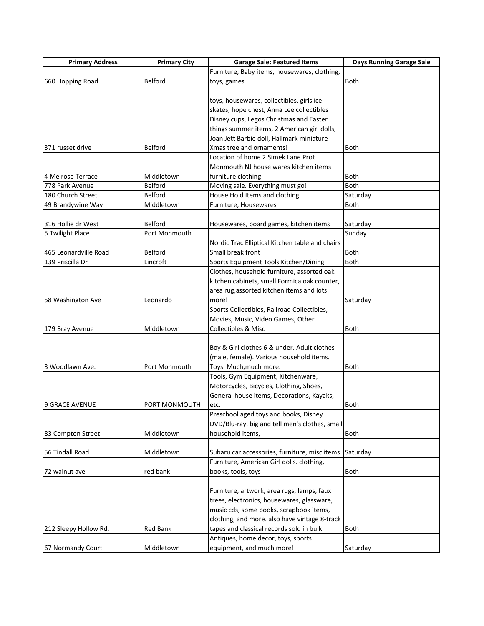| <b>Primary Address</b> | <b>Primary City</b> | <b>Garage Sale: Featured Items</b>              | <b>Days Running Garage Sale</b> |
|------------------------|---------------------|-------------------------------------------------|---------------------------------|
|                        |                     | Furniture, Baby items, housewares, clothing,    |                                 |
| 660 Hopping Road       | Belford             | toys, games                                     | <b>Both</b>                     |
|                        |                     |                                                 |                                 |
|                        |                     | toys, housewares, collectibles, girls ice       |                                 |
|                        |                     | skates, hope chest, Anna Lee collectibles       |                                 |
|                        |                     | Disney cups, Legos Christmas and Easter         |                                 |
|                        |                     | things summer items, 2 American girl dolls,     |                                 |
|                        |                     | Joan Jett Barbie doll, Hallmark miniature       |                                 |
| 371 russet drive       | Belford             | Xmas tree and ornaments!                        | <b>Both</b>                     |
|                        |                     | Location of home 2 Simek Lane Prot              |                                 |
|                        |                     | Monmouth NJ house wares kitchen items           |                                 |
| 4 Melrose Terrace      | Middletown          | furniture clothing                              | <b>Both</b>                     |
| 778 Park Avenue        | Belford             | Moving sale. Everything must go!                | <b>Both</b>                     |
| 180 Church Street      | Belford             | House Hold Items and clothing                   | Saturday                        |
| 49 Brandywine Way      | Middletown          | Furniture, Housewares                           | Both                            |
|                        |                     |                                                 |                                 |
| 316 Hollie dr West     | Belford             | Housewares, board games, kitchen items          | Saturday                        |
| 5 Twilight Place       | Port Monmouth       |                                                 | Sunday                          |
|                        |                     | Nordic Trac Elliptical Kitchen table and chairs |                                 |
| 465 Leonardville Road  | Belford             | Small break front                               | Both                            |
| 139 Priscilla Dr       | Lincroft            | Sports Equipment Tools Kitchen/Dining           | Both                            |
|                        |                     | Clothes, household furniture, assorted oak      |                                 |
|                        |                     | kitchen cabinets, small Formica oak counter,    |                                 |
|                        |                     | area rug, assorted kitchen items and lots       |                                 |
| 58 Washington Ave      | Leonardo            | more!                                           | Saturday                        |
|                        |                     | Sports Collectibles, Railroad Collectibles,     |                                 |
|                        |                     | Movies, Music, Video Games, Other               |                                 |
| 179 Bray Avenue        | Middletown          | <b>Collectibles &amp; Misc</b>                  | <b>Both</b>                     |
|                        |                     |                                                 |                                 |
|                        |                     | Boy & Girl clothes 6 & under. Adult clothes     |                                 |
|                        |                     | (male, female). Various household items.        |                                 |
| 3 Woodlawn Ave.        | Port Monmouth       | Toys. Much, much more.                          | <b>Both</b>                     |
|                        |                     | Tools, Gym Equipment, Kitchenware,              |                                 |
|                        |                     | Motorcycles, Bicycles, Clothing, Shoes,         |                                 |
|                        |                     | General house items, Decorations, Kayaks,       |                                 |
| 9 GRACE AVENUE         | PORT MONMOUTH       | etc.                                            | <b>Both</b>                     |
|                        |                     | Preschool aged toys and books, Disney           |                                 |
|                        |                     | DVD/Blu-ray, big and tell men's clothes, small  |                                 |
| 83 Compton Street      | Middletown          | household items,                                | <b>Both</b>                     |
|                        |                     |                                                 |                                 |
| 56 Tindall Road        | Middletown          | Subaru car accessories, furniture, misc items   | Saturday                        |
|                        |                     | Furniture, American Girl dolls. clothing,       |                                 |
| 72 walnut ave          | red bank            | books, tools, toys                              | Both                            |
|                        |                     |                                                 |                                 |
|                        |                     | Furniture, artwork, area rugs, lamps, faux      |                                 |
|                        |                     | trees, electronics, housewares, glassware,      |                                 |
|                        |                     | music cds, some books, scrapbook items,         |                                 |
|                        |                     | clothing, and more. also have vintage 8-track   |                                 |
| 212 Sleepy Hollow Rd.  | Red Bank            | tapes and classical records sold in bulk.       | <b>Both</b>                     |
|                        |                     | Antiques, home decor, toys, sports              |                                 |
| 67 Normandy Court      | Middletown          | equipment, and much more!                       | Saturday                        |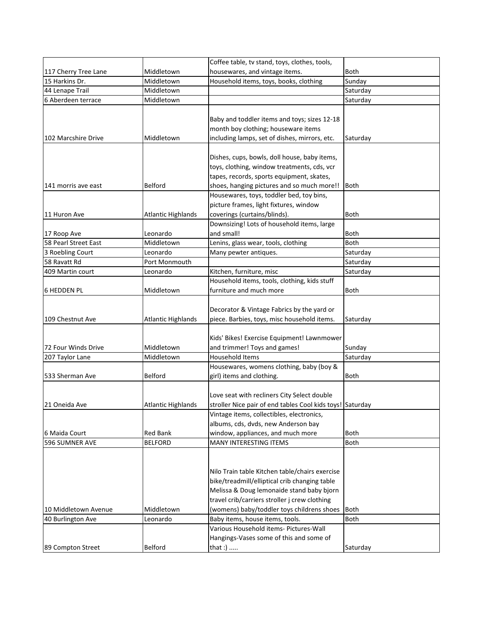|                      |                           | Coffee table, tv stand, toys, clothes, tools,             |             |
|----------------------|---------------------------|-----------------------------------------------------------|-------------|
| 117 Cherry Tree Lane | Middletown                | housewares, and vintage items.                            | Both        |
| 15 Harkins Dr.       | Middletown                | Household items, toys, books, clothing                    | Sunday      |
| 44 Lenape Trail      | Middletown                |                                                           | Saturday    |
| 6 Aberdeen terrace   | Middletown                |                                                           | Saturday    |
|                      |                           |                                                           |             |
|                      |                           | Baby and toddler items and toys; sizes 12-18              |             |
|                      |                           | month boy clothing; houseware items                       |             |
| 102 Marcshire Drive  | Middletown                | including lamps, set of dishes, mirrors, etc.             | Saturday    |
|                      |                           |                                                           |             |
|                      |                           | Dishes, cups, bowls, doll house, baby items,              |             |
|                      |                           | toys, clothing, window treatments, cds, vcr               |             |
|                      |                           | tapes, records, sports equipment, skates,                 |             |
| 141 morris ave east  | Belford                   | shoes, hanging pictures and so much more!!                | Both        |
|                      |                           | Housewares, toys, toddler bed, toy bins,                  |             |
|                      |                           | picture frames, light fixtures, window                    |             |
| 11 Huron Ave         | <b>Atlantic Highlands</b> | coverings (curtains/blinds).                              | <b>Both</b> |
|                      |                           | Downsizing! Lots of household items, large                |             |
| 17 Roop Ave          | Leonardo                  | and small!                                                | Both        |
| 58 Pearl Street East | Middletown                | Lenins, glass wear, tools, clothing                       | Both        |
| 3 Roebling Court     | Leonardo                  | Many pewter antiques.                                     | Saturday    |
| 58 Ravatt Rd         | Port Monmouth             |                                                           | Saturday    |
| 409 Martin court     | Leonardo                  | Kitchen, furniture, misc                                  | Saturday    |
|                      |                           | Household items, tools, clothing, kids stuff              |             |
| <b>6 HEDDEN PL</b>   | Middletown                | furniture and much more                                   | <b>Both</b> |
|                      |                           |                                                           |             |
|                      |                           | Decorator & Vintage Fabrics by the yard or                |             |
| 109 Chestnut Ave     | <b>Atlantic Highlands</b> | piece. Barbies, toys, misc household items.               | Saturday    |
|                      |                           |                                                           |             |
|                      |                           | Kids' Bikes! Exercise Equipment! Lawnmower                |             |
| 72 Four Winds Drive  | Middletown                | and trimmer! Toys and games!                              | Sunday      |
| 207 Taylor Lane      | Middletown                | <b>Household Items</b>                                    | Saturday    |
|                      |                           | Housewares, womens clothing, baby (boy &                  |             |
| 533 Sherman Ave      | <b>Belford</b>            | girl) items and clothing.                                 | <b>Both</b> |
|                      |                           |                                                           |             |
|                      |                           | Love seat with recliners City Select double               |             |
| 21 Oneida Ave        | <b>Atlantic Highlands</b> | stroller Nice pair of end tables Cool kids toys! Saturday |             |
|                      |                           | Vintage items, collectibles, electronics,                 |             |
|                      |                           | albums, cds, dvds, new Anderson bay                       |             |
| 6 Maida Court        | <b>Red Bank</b>           | window, appliances, and much more                         | <b>Both</b> |
| 596 SUMNER AVE       | <b>BELFORD</b>            | MANY INTERESTING ITEMS                                    | Both        |
|                      |                           |                                                           |             |
|                      |                           |                                                           |             |
|                      |                           | Nilo Train table Kitchen table/chairs exercise            |             |
|                      |                           | bike/treadmill/elliptical crib changing table             |             |
|                      |                           | Melissa & Doug lemonaide stand baby bjorn                 |             |
|                      |                           | travel crib/carriers stroller j crew clothing             |             |
| 10 Middletown Avenue | Middletown                | (womens) baby/toddler toys childrens shoes                | <b>Both</b> |
| 40 Burlington Ave    | Leonardo                  | Baby items, house items, tools.                           | <b>Both</b> |
|                      |                           | Various Household items- Pictures-Wall                    |             |
|                      |                           | Hangings-Vases some of this and some of                   |             |
| 89 Compton Street    | Belford                   | that :)                                                   | Saturday    |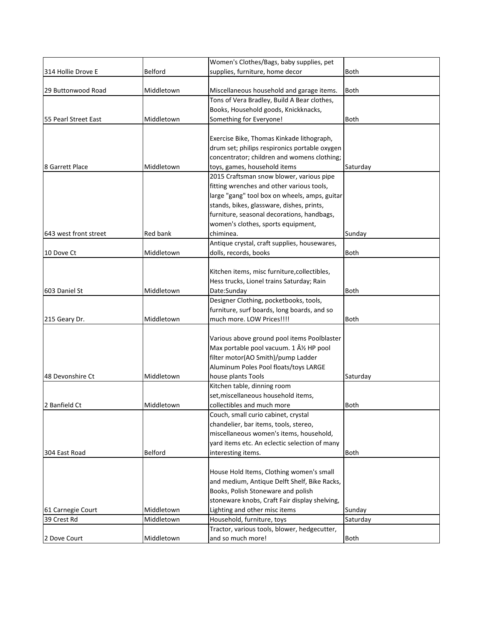|                       |                | Women's Clothes/Bags, baby supplies, pet      |             |
|-----------------------|----------------|-----------------------------------------------|-------------|
| 314 Hollie Drove E    | <b>Belford</b> | supplies, furniture, home decor               | <b>Both</b> |
|                       |                |                                               |             |
| 29 Buttonwood Road    | Middletown     | Miscellaneous household and garage items.     | <b>Both</b> |
|                       |                | Tons of Vera Bradley, Build A Bear clothes,   |             |
|                       |                | Books, Household goods, Knickknacks,          |             |
| 55 Pearl Street East  | Middletown     | Something for Everyone!                       | <b>Both</b> |
|                       |                |                                               |             |
|                       |                | Exercise Bike, Thomas Kinkade lithograph,     |             |
|                       |                | drum set; philips respironics portable oxygen |             |
|                       |                | concentrator; children and womens clothing;   |             |
| 8 Garrett Place       | Middletown     | toys, games, household items                  | Saturday    |
|                       |                | 2015 Craftsman snow blower, various pipe      |             |
|                       |                | fitting wrenches and other various tools,     |             |
|                       |                | large "gang" tool box on wheels, amps, guitar |             |
|                       |                | stands, bikes, glassware, dishes, prints,     |             |
|                       |                | furniture, seasonal decorations, handbags,    |             |
|                       |                | women's clothes, sports equipment,            |             |
| 643 west front street | Red bank       | chiminea.                                     | Sunday      |
|                       |                | Antique crystal, craft supplies, housewares,  |             |
| 10 Dove Ct            | Middletown     | dolls, records, books                         | <b>Both</b> |
|                       |                |                                               |             |
|                       |                | Kitchen items, misc furniture, collectibles,  |             |
|                       |                | Hess trucks, Lionel trains Saturday; Rain     |             |
| 603 Daniel St         | Middletown     | Date:Sunday                                   | <b>Both</b> |
|                       |                | Designer Clothing, pocketbooks, tools,        |             |
|                       |                | furniture, surf boards, long boards, and so   |             |
| 215 Geary Dr.         | Middletown     | much more. LOW Prices!!!!                     | <b>Both</b> |
|                       |                |                                               |             |
|                       |                | Various above ground pool items Poolblaster   |             |
|                       |                | Max portable pool vacuum. 1 Â1/2 HP pool      |             |
|                       |                | filter motor(AO Smith)/pump Ladder            |             |
|                       |                | Aluminum Poles Pool floats/toys LARGE         |             |
| 48 Devonshire Ct      | Middletown     | house plants Tools                            | Saturday    |
|                       |                | Kitchen table, dinning room                   |             |
|                       |                | set, miscellaneous household items,           |             |
| 2 Banfield Ct         | Middletown     | collectibles and much more                    | <b>Both</b> |
|                       |                | Couch, small curio cabinet, crystal           |             |
|                       |                | chandelier, bar items, tools, stereo,         |             |
|                       |                | miscellaneous women's items, household,       |             |
|                       |                | yard items etc. An eclectic selection of many |             |
| 304 East Road         | Belford        | interesting items.                            | <b>Both</b> |
|                       |                |                                               |             |
|                       |                | House Hold Items, Clothing women's small      |             |
|                       |                | and medium, Antique Delft Shelf, Bike Racks,  |             |
|                       |                | Books, Polish Stoneware and polish            |             |
|                       |                | stoneware knobs, Craft Fair display shelving, |             |
| 61 Carnegie Court     | Middletown     | Lighting and other misc items                 | Sunday      |
| 39 Crest Rd           | Middletown     | Household, furniture, toys                    | Saturday    |
|                       |                | Tractor, various tools, blower, hedgecutter,  |             |
| 2 Dove Court          | Middletown     | and so much more!                             | <b>Both</b> |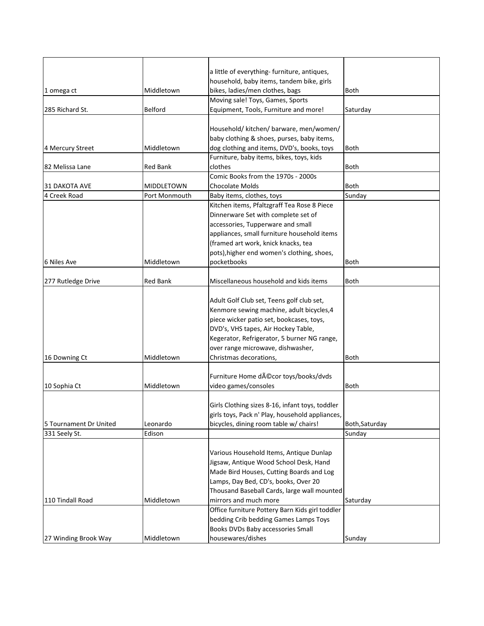|                        |                 | a little of everything-furniture, antiques,     |                |
|------------------------|-----------------|-------------------------------------------------|----------------|
|                        |                 | household, baby items, tandem bike, girls       |                |
| 1 omega ct             | Middletown      | bikes, ladies/men clothes, bags                 | <b>Both</b>    |
|                        |                 | Moving sale! Toys, Games, Sports                |                |
| 285 Richard St.        | Belford         | Equipment, Tools, Furniture and more!           | Saturday       |
|                        |                 |                                                 |                |
|                        |                 | Household/ kitchen/ barware, men/women/         |                |
|                        |                 | baby clothing & shoes, purses, baby items,      |                |
| 4 Mercury Street       | Middletown      | dog clothing and items, DVD's, books, toys      | <b>Both</b>    |
|                        |                 | Furniture, baby items, bikes, toys, kids        |                |
| 82 Melissa Lane        | Red Bank        | clothes                                         | Both           |
|                        |                 | Comic Books from the 1970s - 2000s              |                |
| 31 DAKOTA AVE          | MIDDLETOWN      | Chocolate Molds                                 | Both           |
| 4 Creek Road           | Port Monmouth   | Baby items, clothes, toys                       | Sunday         |
|                        |                 | Kitchen items, Pfaltzgraff Tea Rose 8 Piece     |                |
|                        |                 | Dinnerware Set with complete set of             |                |
|                        |                 | accessories, Tupperware and small               |                |
|                        |                 | appliances, small furniture household items     |                |
|                        |                 | (framed art work, knick knacks, tea             |                |
|                        |                 | pots), higher end women's clothing, shoes,      |                |
| 6 Niles Ave            | Middletown      | pocketbooks                                     | <b>Both</b>    |
|                        |                 |                                                 |                |
| 277 Rutledge Drive     | <b>Red Bank</b> | Miscellaneous household and kids items          | <b>Both</b>    |
|                        |                 |                                                 |                |
|                        |                 | Adult Golf Club set, Teens golf club set,       |                |
|                        |                 | Kenmore sewing machine, adult bicycles, 4       |                |
|                        |                 | piece wicker patio set, bookcases, toys,        |                |
|                        |                 | DVD's, VHS tapes, Air Hockey Table,             |                |
|                        |                 | Kegerator, Refrigerator, 5 burner NG range,     |                |
|                        |                 | over range microwave, dishwasher,               |                |
| 16 Downing Ct          | Middletown      | Christmas decorations,                          | <b>Both</b>    |
|                        |                 |                                                 |                |
|                        |                 | Furniture Home décor toys/books/dvds            |                |
| 10 Sophia Ct           | Middletown      | video games/consoles                            | <b>Both</b>    |
|                        |                 |                                                 |                |
|                        |                 | Girls Clothing sizes 8-16, infant toys, toddler |                |
|                        |                 | girls toys, Pack n' Play, household appliances, |                |
| 5 Tournament Dr United | Leonardo        | bicycles, dining room table w/ chairs!          | Both, Saturday |
| 331 Seely St.          | Edison          |                                                 | Sunday         |
|                        |                 |                                                 |                |
|                        |                 | Various Household Items, Antique Dunlap         |                |
|                        |                 | Jigsaw, Antique Wood School Desk, Hand          |                |
|                        |                 | Made Bird Houses, Cutting Boards and Log        |                |
|                        |                 | Lamps, Day Bed, CD's, books, Over 20            |                |
|                        |                 | Thousand Baseball Cards, large wall mounted     |                |
| 110 Tindall Road       | Middletown      | mirrors and much more                           | Saturday       |
|                        |                 | Office furniture Pottery Barn Kids girl toddler |                |
|                        |                 | bedding Crib bedding Games Lamps Toys           |                |
|                        |                 | Books DVDs Baby accessories Small               |                |
| 27 Winding Brook Way   | Middletown      | housewares/dishes                               | Sunday         |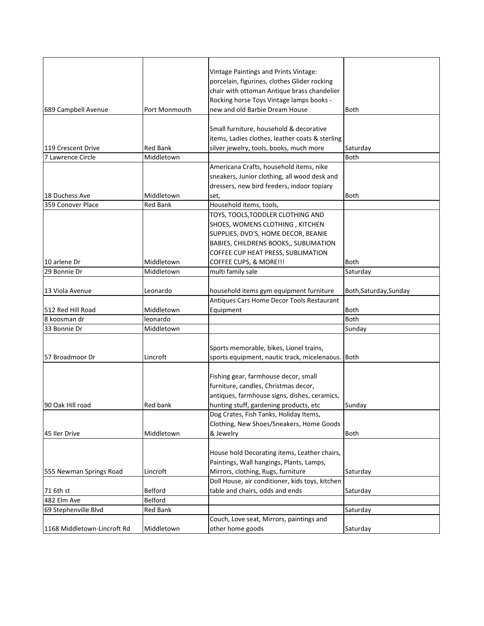|                             |                 | Vintage Paintings and Prints Vintage:             |                        |
|-----------------------------|-----------------|---------------------------------------------------|------------------------|
|                             |                 | porcelain, figurines, clothes Glider rocking      |                        |
|                             |                 | chair with ottoman Antique brass chandelier       |                        |
|                             |                 | Rocking horse Toys Vintage lamps books -          |                        |
| 689 Campbell Avenue         | Port Monmouth   | new and old Barbie Dream House                    | <b>Both</b>            |
|                             |                 |                                                   |                        |
|                             |                 | Small furniture, household & decorative           |                        |
|                             |                 | items, Ladies clothes, leather coats & sterling   |                        |
| 119 Crescent Drive          | <b>Red Bank</b> | silver jewelry, tools, books, much more           | Saturday               |
| 7 Lawrence Circle           | Middletown      |                                                   | <b>Both</b>            |
|                             |                 | Americana Crafts, household items, nike           |                        |
|                             |                 | sneakers, Junior clothing, all wood desk and      |                        |
|                             |                 | dressers, new bird feeders, indoor topiary        |                        |
| 18 Duchess Ave              | Middletown      | set,                                              | <b>Both</b>            |
| 359 Conover Place           | <b>Red Bank</b> | Household items, tools,                           |                        |
|                             |                 | TOYS, TOOLS, TODDLER CLOTHING AND                 |                        |
|                             |                 | SHOES, WOMENS CLOTHING, KITCHEN                   |                        |
|                             |                 | SUPPLIES, DVD'S, HOME DECOR, BEANIE               |                        |
|                             |                 | BABIES, CHILDRENS BOOKS,, SUBLIMATION             |                        |
|                             |                 | COFFEE CUP HEAT PRESS, SUBLIMATION                |                        |
| 10 arlene Dr                | Middletown      | COFFEE CUPS, & MORE!!!                            | <b>Both</b>            |
| 29 Bonnie Dr                | Middletown      | multi family sale                                 | Saturday               |
|                             |                 |                                                   |                        |
| 13 Viola Avenue             | Leonardo        | household items gym equipment furniture           | Both, Saturday, Sunday |
|                             |                 | Antiques Cars Home Decor Tools Restaurant         |                        |
| 512 Red Hill Road           | Middletown      | Equipment                                         | <b>Both</b>            |
| 8 koosman dr                | leonardo        |                                                   | <b>Both</b>            |
| 33 Bonnie Dr                | Middletown      |                                                   | Sunday                 |
|                             |                 |                                                   |                        |
|                             |                 | Sports memorable, bikes, Lionel trains,           |                        |
| 57 Broadmoor Dr             | Lincroft        | sports equipment, nautic track, micelenaous. Both |                        |
|                             |                 |                                                   |                        |
|                             |                 | Fishing gear, farmhouse decor, small              |                        |
|                             |                 | furniture, candles, Christmas decor,              |                        |
|                             |                 | antiques, farmhouse signs, dishes, ceramics,      |                        |
| 90 Oak Hill road            | <b>Red bank</b> | hunting stuff, gardening products, etc            | Sunday                 |
|                             |                 | Dog Crates, Fish Tanks, Holiday Items,            |                        |
|                             |                 | Clothing, New Shoes/Sneakers, Home Goods          |                        |
| 45 Iler Drive               | Middletown      | & Jewelry                                         | Both                   |
|                             |                 |                                                   |                        |
|                             |                 | House hold Decorating items, Leather chairs,      |                        |
|                             |                 | Paintings, Wall hangings, Plants, Lamps,          |                        |
| 555 Newman Springs Road     | Lincroft        | Mirrors, clothing, Rugs, furniture                | Saturday               |
|                             |                 | Doll House, air conditioner, kids toys, kitchen   |                        |
| 71 6th st                   | Belford         | table and chairs, odds and ends                   | Saturday               |
| 482 Elm Ave                 | Belford         |                                                   |                        |
| 69 Stephenville Blvd        | Red Bank        |                                                   | Saturday               |
|                             |                 | Couch, Love seat, Mirrors, paintings and          |                        |
| 1168 Middletown-Lincroft Rd | Middletown      | other home goods                                  | Saturday               |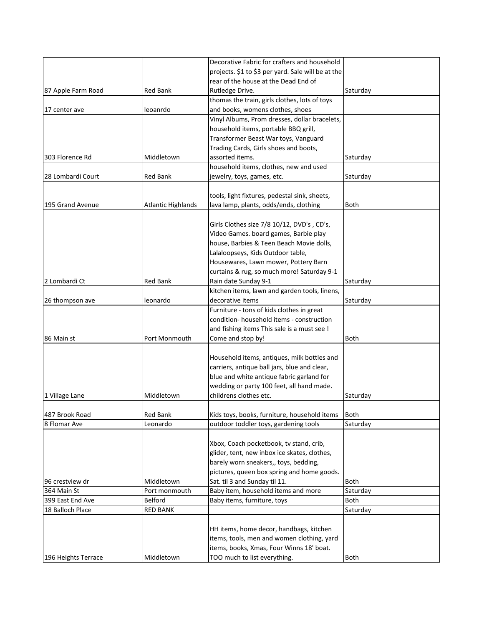|                     |                           | Decorative Fabric for crafters and household       |             |
|---------------------|---------------------------|----------------------------------------------------|-------------|
|                     |                           | projects. \$1 to \$3 per yard. Sale will be at the |             |
|                     |                           | rear of the house at the Dead End of               |             |
| 87 Apple Farm Road  | <b>Red Bank</b>           | Rutledge Drive.                                    | Saturday    |
|                     |                           | thomas the train, girls clothes, lots of toys      |             |
| 17 center ave       | leoanrdo                  | and books, womens clothes, shoes                   |             |
|                     |                           | Vinyl Albums, Prom dresses, dollar bracelets,      |             |
|                     |                           | household items, portable BBQ grill,               |             |
|                     |                           | Transformer Beast War toys, Vanguard               |             |
|                     |                           | Trading Cards, Girls shoes and boots,              |             |
| 303 Florence Rd     | Middletown                | assorted items.                                    | Saturday    |
|                     |                           | household items, clothes, new and used             |             |
| 28 Lombardi Court   | <b>Red Bank</b>           | jewelry, toys, games, etc.                         | Saturday    |
|                     |                           |                                                    |             |
|                     |                           | tools, light fixtures, pedestal sink, sheets,      |             |
| 195 Grand Avenue    | <b>Atlantic Highlands</b> | lava lamp, plants, odds/ends, clothing             | <b>Both</b> |
|                     |                           |                                                    |             |
|                     |                           | Girls Clothes size 7/8 10/12, DVD's, CD's,         |             |
|                     |                           | Video Games. board games, Barbie play              |             |
|                     |                           | house, Barbies & Teen Beach Movie dolls,           |             |
|                     |                           | Lalaloopseys, Kids Outdoor table,                  |             |
|                     |                           | Housewares, Lawn mower, Pottery Barn               |             |
|                     |                           | curtains & rug, so much more! Saturday 9-1         |             |
| 2 Lombardi Ct       | <b>Red Bank</b>           | Rain date Sunday 9-1                               | Saturday    |
|                     |                           | kitchen items, lawn and garden tools, linens,      |             |
| 26 thompson ave     | leonardo                  | decorative items                                   | Saturday    |
|                     |                           | Furniture - tons of kids clothes in great          |             |
|                     |                           | condition-household items - construction           |             |
|                     |                           | and fishing items This sale is a must see !        |             |
| 86 Main st          | Port Monmouth             | Come and stop by!                                  | <b>Both</b> |
|                     |                           |                                                    |             |
|                     |                           | Household items, antiques, milk bottles and        |             |
|                     |                           | carriers, antique ball jars, blue and clear,       |             |
|                     |                           | blue and white antique fabric garland for          |             |
|                     |                           | wedding or party 100 feet, all hand made.          |             |
| 1 Village Lane      | Middletown                | childrens clothes etc.                             | Saturday    |
|                     |                           |                                                    |             |
| 487 Brook Road      | Red Bank                  | Kids toys, books, furniture, household items       | <b>Both</b> |
| 8 Flomar Ave        | Leonardo                  | outdoor toddler toys, gardening tools              | Saturday    |
|                     |                           |                                                    |             |
|                     |                           | Xbox, Coach pocketbook, tv stand, crib,            |             |
|                     |                           | glider, tent, new inbox ice skates, clothes,       |             |
|                     |                           | barely worn sneakers,, toys, bedding,              |             |
|                     |                           | pictures, queen box spring and home goods.         |             |
| 96 crestview dr     | Middletown                | Sat. til 3 and Sunday til 11.                      | <b>Both</b> |
| 364 Main St         | Port monmouth             | Baby item, household items and more                | Saturday    |
| 399 East End Ave    | Belford                   | Baby items, furniture, toys                        | <b>Both</b> |
| 18 Balloch Place    | <b>RED BANK</b>           |                                                    | Saturday    |
|                     |                           |                                                    |             |
|                     |                           | HH items, home decor, handbags, kitchen            |             |
|                     |                           | items, tools, men and women clothing, yard         |             |
|                     |                           | items, books, Xmas, Four Winns 18' boat.           |             |
| 196 Heights Terrace | Middletown                | TOO much to list everything.                       | <b>Both</b> |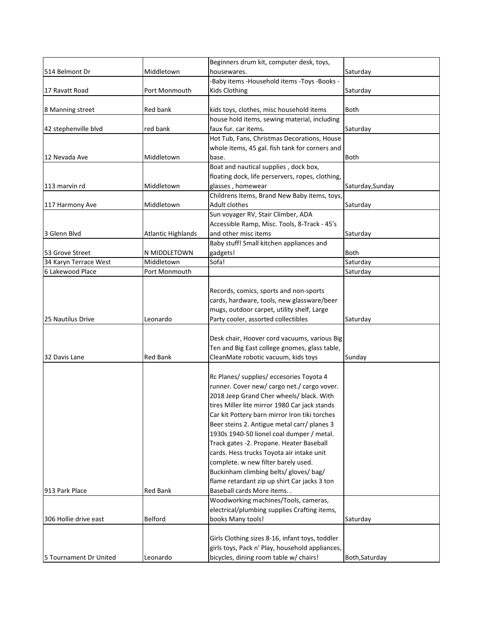|                        |                           | Beginners drum kit, computer desk, toys,         |                  |
|------------------------|---------------------------|--------------------------------------------------|------------------|
| 514 Belmont Dr         | Middletown                | housewares.                                      | Saturday         |
|                        |                           | -Baby items -Household items -Toys -Books -      |                  |
| 17 Ravatt Road         | Port Monmouth             | Kids Clothing                                    | Saturday         |
|                        |                           |                                                  |                  |
| 8 Manning street       | Red bank                  | kids toys, clothes, misc household items         | <b>Both</b>      |
|                        |                           | house hold items, sewing material, including     |                  |
| 42 stephenville blvd   | red bank                  | faux fur. car items.                             | Saturday         |
|                        |                           | Hot Tub, Fans, Christmas Decorations, House      |                  |
|                        |                           | whole items, 45 gal. fish tank for corners and   |                  |
| 12 Nevada Ave          | Middletown                | base.                                            | Both             |
|                        |                           | Boat and nautical supplies, dock box,            |                  |
|                        |                           | floating dock, life perservers, ropes, clothing, |                  |
| 113 marvin rd          | Middletown                | glasses, homewear                                | Saturday, Sunday |
|                        |                           | Childrens Items, Brand New Baby items, toys,     |                  |
| 117 Harmony Ave        | Middletown                | Adult clothes                                    | Saturday         |
|                        |                           | Sun voyager RV, Stair Climber, ADA               |                  |
|                        |                           | Accessible Ramp, Misc. Tools, 8-Track - 45's     |                  |
| 3 Glenn Blvd           | <b>Atlantic Highlands</b> | and other misc items                             | Saturday         |
|                        |                           | Baby stuff! Small kitchen appliances and         |                  |
| 53 Grove Street        | N MIDDLETOWN              | gadgets!                                         | <b>Both</b>      |
| 34 Karyn Terrace West  | Middletown                | Sofa!                                            | Saturday         |
| 6 Lakewood Place       | Port Monmouth             |                                                  | Saturday         |
|                        |                           |                                                  |                  |
|                        |                           | Records, comics, sports and non-sports           |                  |
|                        |                           | cards, hardware, tools, new glassware/beer       |                  |
|                        |                           | mugs, outdoor carpet, utility shelf, Large       |                  |
| 25 Nautilus Drive      | Leonardo                  | Party cooler, assorted collectibles              | Saturday         |
|                        |                           |                                                  |                  |
|                        |                           | Desk chair, Hoover cord vacuums, various Big     |                  |
|                        |                           | Ten and Big East college gnomes, glass table,    |                  |
| 32 Davis Lane          | Red Bank                  | CleanMate robotic vacuum, kids toys              | Sunday           |
|                        |                           |                                                  |                  |
|                        |                           | Rc Planes/ supplies/ eccesories Toyota 4         |                  |
|                        |                           | runner. Cover new/ cargo net./ cargo vover.      |                  |
|                        |                           | 2018 Jeep Grand Cher wheels/ black. With         |                  |
|                        |                           | tires Miller lite mirror 1980 Car jack stands    |                  |
|                        |                           | Car kit Pottery barn mirror Iron tiki torches    |                  |
|                        |                           | Beer steins 2. Antigue metal carr/ planes 3      |                  |
|                        |                           | 1930s 1940-50 lionel coal dumper / metal.        |                  |
|                        |                           | Track gates -2. Propane. Heater Baseball         |                  |
|                        |                           | cards. Hess trucks Toyota air intake unit        |                  |
|                        |                           | complete. w new filter barely used.              |                  |
|                        |                           | Buckinham climbing belts/ gloves/ bag/           |                  |
|                        |                           |                                                  |                  |
| 913 Park Place         | <b>Red Bank</b>           | flame retardant zip up shirt Car jacks 3 ton     |                  |
|                        |                           | Baseball cards More items. .                     |                  |
|                        |                           | Woodworking machines/Tools, cameras,             |                  |
|                        |                           | electrical/plumbing supplies Crafting items,     |                  |
| 306 Hollie drive east  | Belford                   | books Many tools!                                | Saturday         |
|                        |                           |                                                  |                  |
|                        |                           | Girls Clothing sizes 8-16, infant toys, toddler  |                  |
|                        |                           | girls toys, Pack n' Play, household appliances,  |                  |
| 5 Tournament Dr United | Leonardo                  | bicycles, dining room table w/ chairs!           | Both, Saturday   |